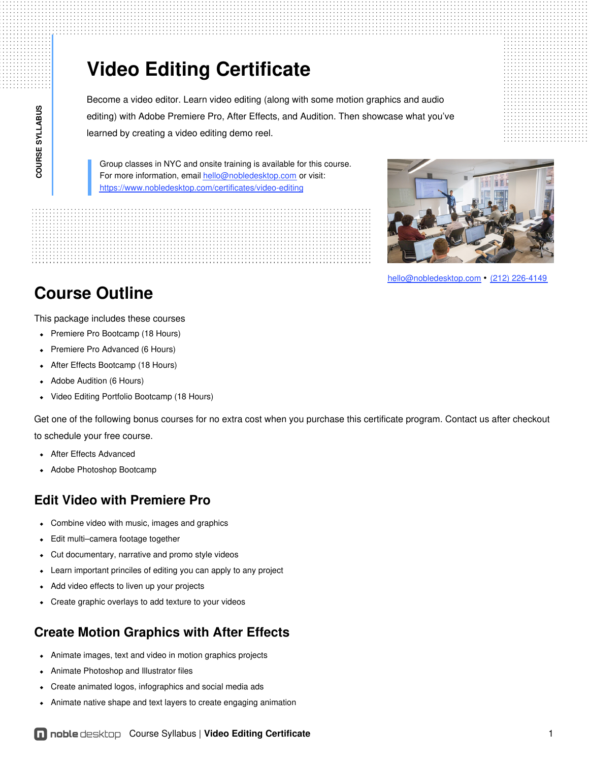# **Video Editing Certificate**

Become a video editor. Learn video editing (along with some motion graphics and audio editing) with Adobe Premiere Pro, After Effects, and Audition. Then showcase what you've learned by creating a video editing demo reel.

Group classes in NYC and onsite training is available for this course. For more information, email [hello@nobledesktop.com](mailto:hello@nobledesktop.com) or visit: <https://www.nobledesktop.com/certificates/video-editing>



[hello@nobledesktop.com](mailto:hello@nobledesktop.com) • (212) [226-4149](tel:+1-212-226-4149)

## **Course Outline**

This package includes these courses

- Premiere Pro Bootcamp (18 Hours)
- Premiere Pro Advanced (6 Hours)
- After Effects Bootcamp (18 Hours)
- Adobe Audition (6 Hours)  $\bullet$
- Video Editing Portfolio Bootcamp (18 Hours)  $\bullet$

Get one of the following bonus courses for no extra cost when you purchase this certificate program. Contact us after checkout to schedule your free course.

- After Effects Advanced
- Adobe Photoshop Bootcamp

#### **Edit Video with Premiere Pro**

- Combine video with music, images and graphics
- Edit multi–camera footage together
- Cut documentary, narrative and promo style videos  $\bullet$
- Learn important princiles of editing you can apply to any project
- Add video effects to liven up your projects
- Create graphic overlays to add texture to your videos

### **Create Motion Graphics with After Effects**

- Animate images, text and video in motion graphics projects
- Animate Photoshop and Illustrator files
- Create animated logos, infographics and social media ads  $\bullet$
- Animate native shape and text layers to create engaging animation